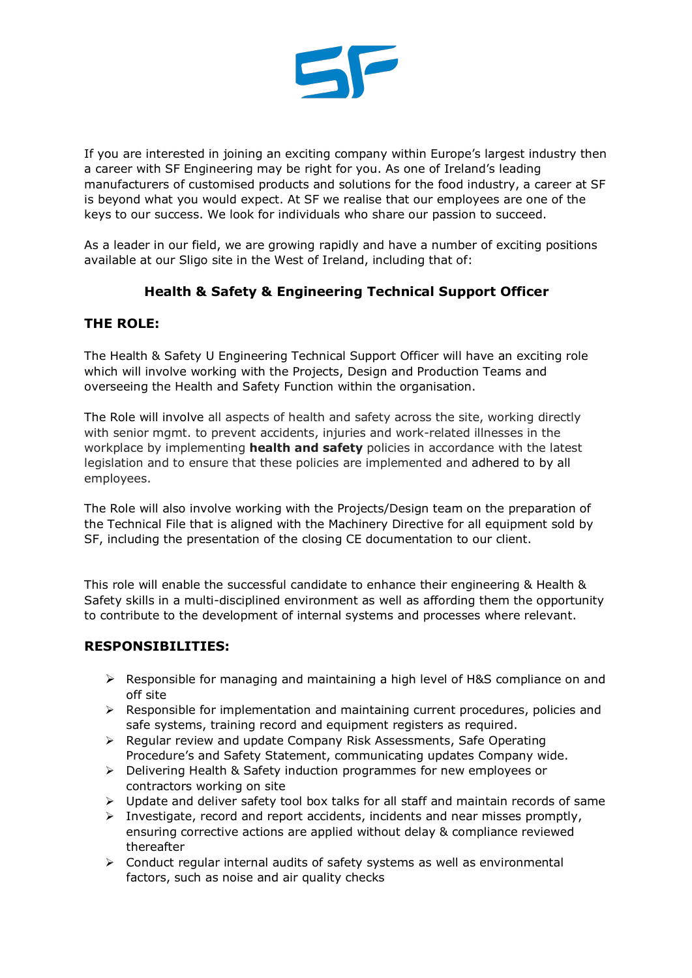

If you are interested in joining an exciting company within Europe's largest industry then a career with SF Engineering may be right for you. As one of Ireland's leading manufacturers of customised products and solutions for the food industry, a career at SF is beyond what you would expect. At SF we realise that our employees are one of the keys to our success. We look for individuals who share our passion to succeed.

As a leader in our field, we are growing rapidly and have a number of exciting positions available at our Sligo site in the West of Ireland, including that of:

# **Health & Safety & Engineering Technical Support Officer**

## **THE ROLE:**

The Health & Safety U Engineering Technical Support Officer will have an exciting role which will involve working with the Projects, Design and Production Teams and overseeing the Health and Safety Function within the organisation.

The Role will involve all aspects of health and safety across the site, working directly with senior mgmt. to prevent accidents, injuries and work-related illnesses in the workplace by implementing **health and safety** policies in accordance with the latest legislation and to ensure that these policies are implemented and adhered to by all employees.

The Role will also involve working with the Projects/Design team on the preparation of the Technical File that is aligned with the Machinery Directive for all equipment sold by SF, including the presentation of the closing CE documentation to our client.

This role will enable the successful candidate to enhance their engineering & Health & Safety skills in a multi-disciplined environment as well as affording them the opportunity to contribute to the development of internal systems and processes where relevant.

### **RESPONSIBILITIES:**

- $\triangleright$  Responsible for managing and maintaining a high level of H&S compliance on and off site
- $\triangleright$  Responsible for implementation and maintaining current procedures, policies and safe systems, training record and equipment registers as required.
- $\triangleright$  Regular review and update Company Risk Assessments, Safe Operating Procedure's and Safety Statement, communicating updates Company wide.
- $\triangleright$  Delivering Health & Safety induction programmes for new employees or contractors working on site
- $\triangleright$  Update and deliver safety tool box talks for all staff and maintain records of same
- $\triangleright$  Investigate, record and report accidents, incidents and near misses promptly, ensuring corrective actions are applied without delay & compliance reviewed thereafter
- $\triangleright$  Conduct regular internal audits of safety systems as well as environmental factors, such as noise and air quality checks